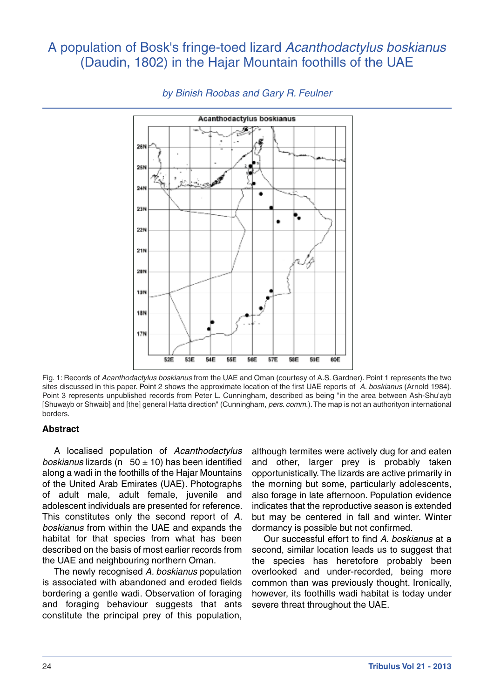# A population of Bosk's fringe-toed lizard *Acanthodactylus boskianus* (Daudin, 1802) in the Hajar Mountain foothills of the UAE



# *by Binish Roobas and Gary R. Feulner*

Fig. 1: Records of *Acanthodactylus boskianus* from the UAE and Oman (courtesy of A.S. Gardner). Point 1 represents the two sites discussed in this paper. Point 2 shows the approximate location of the first UAE reports of *A. boskianus* (Arnold 1984). Point 3 represents unpublished records from Peter L. Cunningham, described as being "in the area between Ash-Shu'ayb [Shuwayb or Shwaib] and [the] general Hatta direction" (Cunningham, *pers. comm*.).The map is not an authorityon international borders.

## **Abstract**

A localised population of *Acanthodactylus boskianus* lizards (n 50 ± 10) has been identified along a wadi in the foothills of the Hajar Mountains of the United Arab Emirates (UAE). Photographs of adult male, adult female, juvenile and adolescent individuals are presented for reference. This constitutes only the second report of *A. boskianus* from within the UAE and expands the habitat for that species from what has been described on the basis of most earlier records from the UAE and neighbouring northern Oman.

The newly recognised *A. boskianus* population is associated with abandoned and eroded fields bordering a gentle wadi. Observation of foraging and foraging behaviour suggests that ants constitute the principal prey of this population,

although termites were actively dug for and eaten and other, larger prey is probably taken opportunistically.The lizards are active primarily in the morning but some, particularly adolescents, also forage in late afternoon. Population evidence indicates that the reproductive season is extended but may be centered in fall and winter. Winter dormancy is possible but not confirmed.

Our successful effort to find *A. boskianus* at a second, similar location leads us to suggest that the species has heretofore probably been overlooked and under-recorded, being more common than was previously thought. Ironically, however, its foothills wadi habitat is today under severe threat throughout the UAE.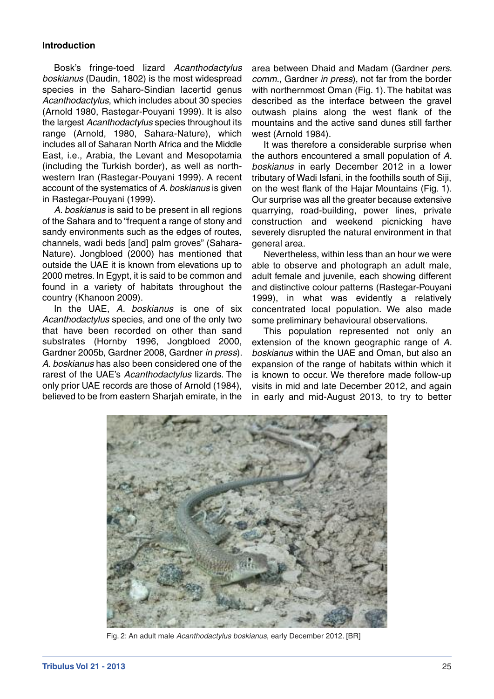## **Introduction**

Bosk's fringe-toed lizard *Acanthodactylus boskianus* (Daudin, 1802) is the most widespread species in the Saharo-Sindian lacertid genus *Acanthodactylus*, which includes about 30 species (Arnold 1980, Rastegar-Pouyani 1999). It is also the largest *Acanthodactylus* species throughout its range (Arnold, 1980, Sahara-Nature), which includes all of Saharan North Africa and the Middle East, i.e., Arabia, the Levant and Mesopotamia (including the Turkish border), as well as northwestern Iran (Rastegar-Pouyani 1999). A recent account of the systematics of *A. boskianus* is given in Rastegar-Pouyani (1999).

*A. boskianus* is said to be present in all regions of the Sahara and to "frequent a range of stony and sandy environments such as the edges of routes, channels, wadi beds [and] palm groves" (Sahara-Nature). Jongbloed (2000) has mentioned that outside the UAE it is known from elevations up to 2000 metres. In Egypt, it is said to be common and found in a variety of habitats throughout the country (Khanoon 2009).

In the UAE, *A. boskianus* is one of six *Acanthodactylus* species, and one of the only two that have been recorded on other than sand substrates (Hornby 1996, Jongbloed 2000, Gardner 2005b, Gardner 2008, Gardner *in press*). *A. boskianus* has also been considered one of the rarest of the UAE's *Acanthodactylus* lizards. The only prior UAE records are those of Arnold (1984), believed to be from eastern Sharjah emirate, in the

area between Dhaid and Madam (Gardner *pers. comm.*, Gardner *in press*), not far from the border with northernmost Oman (Fig. 1). The habitat was described as the interface between the gravel outwash plains along the west flank of the mountains and the active sand dunes still farther west (Arnold 1984).

It was therefore a considerable surprise when the authors encountered a small population of *A. boskianus* in early December 2012 in a lower tributary of Wadi Isfani, in the foothills south of Siji, on the west flank of the Hajar Mountains (Fig. 1). Our surprise was all the greater because extensive quarrying, road-building, power lines, private construction and weekend picnicking have severely disrupted the natural environment in that general area.

Nevertheless, within less than an hour we were able to observe and photograph an adult male, adult female and juvenile, each showing different and distinctive colour patterns (Rastegar-Pouyani 1999), in what was evidently a relatively concentrated local population. We also made some preliminary behavioural observations.

This population represented not only an extension of the known geographic range of *A. boskianus* within the UAE and Oman, but also an expansion of the range of habitats within which it is known to occur. We therefore made follow-up visits in mid and late December 2012, and again in early and mid-August 2013, to try to better



Fig. 2: An adult male *Acanthodactylus boskianus*, early December 2012. [BR]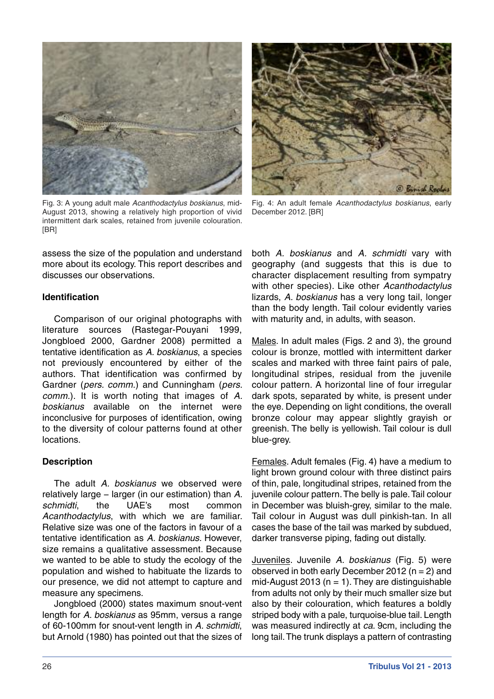

Fig. 3: A young adult male *Acanthodactylus boskianus*, mid-August 2013, showing a relatively high proportion of vivid intermittent dark scales, retained from juvenile colouration. [BR]

assess the size of the population and understand more about its ecology. This report describes and discusses our observations.

## **Identification**

Comparison of our original photographs with literature sources (Rastegar-Pouyani 1999, Jongbloed 2000, Gardner 2008) permitted a tentative identification as *A. boskianus*, a species not previously encountered by either of the authors. That identification was confirmed by Gardner (*pers. comm.*) and Cunningham (*pers. comm.*). It is worth noting that images of *A. boskianus* available on the internet were inconclusive for purposes of identification, owing to the diversity of colour patterns found at other locations.

## **Description**

The adult *A. boskianus* we observed were relatively large − larger (in our estimation) than *A. schmidti*, the UAE's most common *Acanthodactylus*, with which we are familiar. Relative size was one of the factors in favour of a tentative identification as *A. boskianus*. However, size remains a qualitative assessment. Because we wanted to be able to study the ecology of the population and wished to habituate the lizards to our presence, we did not attempt to capture and measure any specimens.

Jongbloed (2000) states maximum snout-vent length for *A. boskianus* as 95mm, versus a range of 60-100mm for snout-vent length in *A. schmidti*, but Arnold (1980) has pointed out that the sizes of



Fig. 4: An adult female *Acanthodactylus boskianus*, early December 2012. [BR]

both *A. boskianus* and *A. schmidti* vary with geography (and suggests that this is due to character displacement resulting from sympatry with other species). Like other *Acanthodactylus* lizards, *A. boskianus* has a very long tail, longer than the body length. Tail colour evidently varies with maturity and, in adults, with season.

Males. In adult males (Figs. 2 and 3), the ground colour is bronze, mottled with intermittent darker scales and marked with three faint pairs of pale, longitudinal stripes, residual from the juvenile colour pattern. A horizontal line of four irregular dark spots, separated by white, is present under the eye. Depending on light conditions, the overall bronze colour may appear slightly grayish or greenish. The belly is yellowish. Tail colour is dull blue-grey.

Females. Adult females (Fig. 4) have a medium to light brown ground colour with three distinct pairs of thin, pale, longitudinal stripes, retained from the juvenile colour pattern. The belly is pale. Tail colour in December was bluish-grey, similar to the male. Tail colour in August was dull pinkish-tan. In all cases the base of the tail was marked by subdued, darker transverse piping, fading out distally.

Juveniles. Juvenile *A. boskianus* (Fig. 5) were observed in both early December 2012 ( $n = 2$ ) and mid-August 2013 ( $n = 1$ ). They are distinguishable from adults not only by their much smaller size but also by their colouration, which features a boldly striped body with a pale, turquoise-blue tail. Length was measured indirectly at *ca*. 9cm, including the long tail.The trunk displays a pattern of contrasting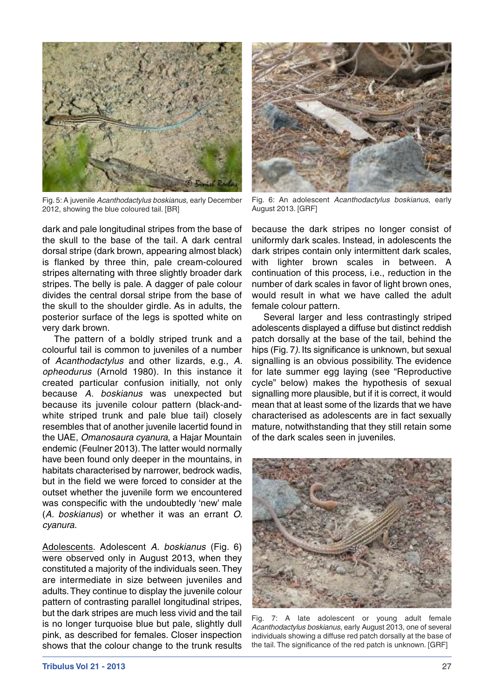

Fig. 5: A juvenile *Acanthodactylus boskianus*, early December 2012, showing the blue coloured tail. [BR]

dark and pale longitudinal stripes from the base of the skull to the base of the tail. A dark central dorsal stripe (dark brown, appearing almost black) is flanked by three thin, pale cream-coloured stripes alternating with three slightly broader dark stripes. The belly is pale. A dagger of pale colour divides the central dorsal stripe from the base of the skull to the shoulder girdle. As in adults, the posterior surface of the legs is spotted white on very dark brown.

The pattern of a boldly striped trunk and a colourful tail is common to juveniles of a number of *Acanthodactylus* and other lizards, e.g., *A. opheodurus* (Arnold 1980). In this instance it created particular confusion initially, not only because *A. boskianus* was unexpected but because its juvenile colour pattern (black-andwhite striped trunk and pale blue tail) closely resembles that of another juvenile lacertid found in the UAE, *Omanosaura cyanura*, a Hajar Mountain endemic (Feulner 2013).The latter would normally have been found only deeper in the mountains, in habitats characterised by narrower, bedrock wadis, but in the field we were forced to consider at the outset whether the juvenile form we encountered was conspecific with the undoubtedly 'new' male (*A. boskianus*) or whether it was an errant *O. cyanura*.

Adolescents. Adolescent *A. boskianus* (Fig. 6) were observed only in August 2013, when they constituted a majority of the individuals seen.They are intermediate in size between juveniles and adults.They continue to display the juvenile colour pattern of contrasting parallel longitudinal stripes, but the dark stripes are much less vivid and the tail is no longer turquoise blue but pale, slightly dull pink, as described for females. Closer inspection shows that the colour change to the trunk results



Fig. 6: An adolescent *Acanthodactylus boskianus*, early August 2013. [GRF]

because the dark stripes no longer consist of uniformly dark scales. Instead, in adolescents the dark stripes contain only intermittent dark scales, with lighter brown scales in between. A continuation of this process, i.e., reduction in the number of dark scales in favor of light brown ones, would result in what we have called the adult female colour pattern.

Several larger and less contrastingly striped adolescents displayed a diffuse but distinct reddish patch dorsally at the base of the tail, behind the hips (Fig. 7*)*. Its significance is unknown, but sexual signalling is an obvious possibility. The evidence for late summer egg laying (see "Reproductive cycle" below) makes the hypothesis of sexual signalling more plausible, but if it is correct, it would mean that at least some of the lizards that we have characterised as adolescents are in fact sexually mature, notwithstanding that they still retain some of the dark scales seen in juveniles.



Fig. 7: A late adolescent or young adult female *Acanthodactylus boskianus*, early August 2013, one of several individuals showing a diffuse red patch dorsally at the base of the tail. The significance of the red patch is unknown. [GRF]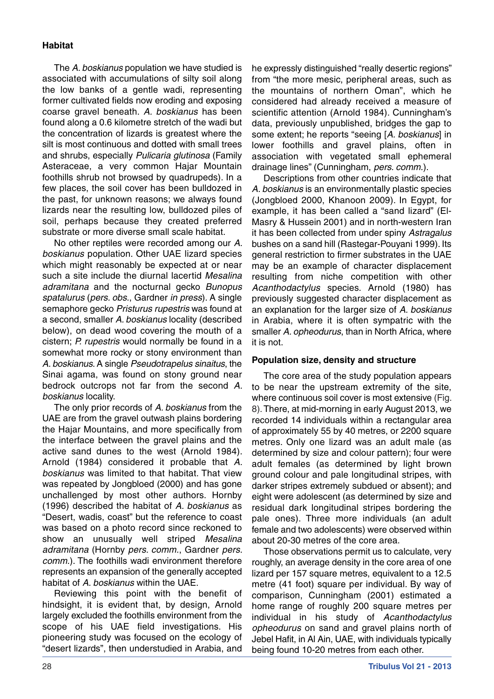# **Habitat**

The *A. boskianus* population we have studied is associated with accumulations of silty soil along the low banks of a gentle wadi, representing former cultivated fields now eroding and exposing coarse gravel beneath. *A. boskianus* has been found along a 0.6 kilometre stretch of the wadi but the concentration of lizards is greatest where the silt is most continuous and dotted with small trees and shrubs, especially *Pulicaria glutinosa* (Family Asteraceae, a very common Hajar Mountain foothills shrub not browsed by quadrupeds). In a few places, the soil cover has been bulldozed in the past, for unknown reasons; we always found lizards near the resulting low, bulldozed piles of soil, perhaps because they created preferred substrate or more diverse small scale habitat.

No other reptiles were recorded among our *A. boskianus* population. Other UAE lizard species which might reasonably be expected at or near such a site include the diurnal lacertid *Mesalina adramitana* and the nocturnal gecko *Bunopus spatalurus* (*pers. obs.*, Gardner *in press*). A single semaphore gecko *Pristurus rupestris* was found at a second, smaller *A. boskianus* locality (described below), on dead wood covering the mouth of a cistern; *P. rupestris* would normally be found in a somewhat more rocky or stony environment than *A. boskianus*. A single *Pseudotrapelus sinaitus*, the Sinai agama, was found on stony ground near bedrock outcrops not far from the second *A. boskianus* locality.

The only prior records of *A. boskianus* from the UAE are from the gravel outwash plains bordering the Hajar Mountains, and more specifically from the interface between the gravel plains and the active sand dunes to the west (Arnold 1984). Arnold (1984) considered it probable that *A. boskianus* was limited to that habitat. That view was repeated by Jongbloed (2000) and has gone unchallenged by most other authors. Hornby (1996) described the habitat of *A. boskianus* as "Desert, wadis, coast" but the reference to coast was based on a photo record since reckoned to show an unusually well striped *Mesalina adramitana* (Hornby *pers. comm.*, Gardner *pers. comm.*). The foothills wadi environment therefore represents an expansion of the generally accepted habitat of *A. boskianus* within the UAE.

Reviewing this point with the benefit of hindsight, it is evident that, by design, Arnold largely excluded the foothills environment from the scope of his UAE field investigations. His pioneering study was focused on the ecology of "desert lizards", then understudied in Arabia, and

he expressly distinguished "really desertic regions" from "the more mesic, peripheral areas, such as the mountains of northern Oman", which he considered had already received a measure of scientific attention (Arnold 1984). Cunningham's data, previously unpublished, bridges the gap to some extent; he reports "seeing [*A. boskianus*] in lower foothills and gravel plains, often in association with vegetated small ephemeral drainage lines" (Cunningham, *pers. comm.*).

Descriptions from other countries indicate that *A. boskianus* is an environmentally plastic species (Jongbloed 2000, Khanoon 2009). In Egypt, for example, it has been called a "sand lizard" (El-Masry & Hussein 2001) and in north-western Iran it has been collected from under spiny *Astragalus* bushes on a sand hill (Rastegar-Pouyani 1999). Its general restriction to firmer substrates in the UAE may be an example of character displacement resulting from niche competition with other *Acanthodactylus* species. Arnold (1980) has previously suggested character displacement as an explanation for the larger size of *A. boskianus* in Arabia, where it is often sympatric with the smaller *A. opheodurus*, than in North Africa, where it is not.

## **Population size, density and structure**

The core area of the study population appears to be near the upstream extremity of the site, where continuous soil cover is most extensive (Fig. 8).There, at mid-morning in early August 2013, we recorded 14 individuals within a rectangular area of approximately 55 by 40 metres, or 2200 square metres. Only one lizard was an adult male (as determined by size and colour pattern); four were adult females (as determined by light brown ground colour and pale longitudinal stripes, with darker stripes extremely subdued or absent); and eight were adolescent (as determined by size and residual dark longitudinal stripes bordering the pale ones). Three more individuals (an adult female and two adolescents) were observed within about 20-30 metres of the core area.

Those observations permit us to calculate, very roughly, an average density in the core area of one lizard per 157 square metres, equivalent to a 12.5 metre (41 foot) square per individual. By way of comparison, Cunningham (2001) estimated a home range of roughly 200 square metres per individual in his study of *Acanthodactylus opheodurus* on sand and gravel plains north of Jebel Hafit, in Al Ain, UAE, with individuals typically being found 10-20 metres from each other.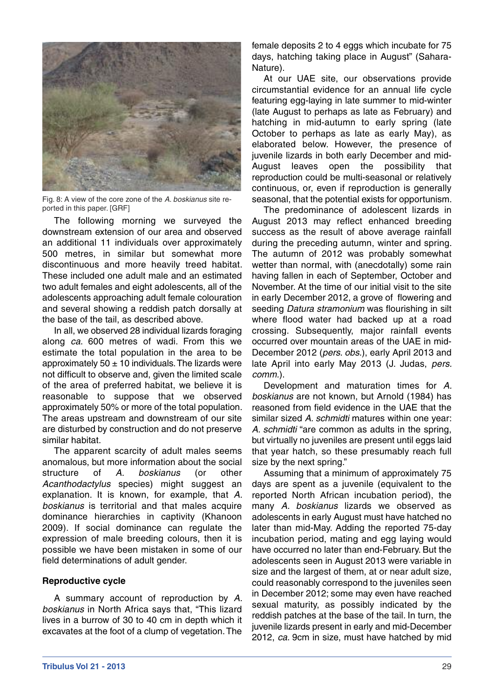

Fig. 8: A view of the core zone of the *A. boskianus* site reported in this paper. [GRF]

The following morning we surveyed the downstream extension of our area and observed an additional 11 individuals over approximately 500 metres, in similar but somewhat more discontinuous and more heavily treed habitat. These included one adult male and an estimated two adult females and eight adolescents, all of the adolescents approaching adult female colouration and several showing a reddish patch dorsally at the base of the tail, as described above.

In all, we observed 28 individual lizards foraging along *ca*. 600 metres of wadi. From this we estimate the total population in the area to be approximately 50  $\pm$  10 individuals. The lizards were not difficult to observe and, given the limited scale of the area of preferred habitat, we believe it is reasonable to suppose that we observed approximately 50% or more of the total population. The areas upstream and downstream of our site are disturbed by construction and do not preserve similar habitat.

The apparent scarcity of adult males seems anomalous, but more information about the social structure of *A. boskianus* (or other *Acanthodactylus* species) might suggest an explanation. It is known, for example, that *A. boskianus* is territorial and that males acquire dominance hierarchies in captivity (Khanoon 2009). If social dominance can regulate the expression of male breeding colours, then it is possible we have been mistaken in some of our field determinations of adult gender.

## **Reproductive cycle**

A summary account of reproduction by *A. boskianus* in North Africa says that, "This lizard lives in a burrow of 30 to 40 cm in depth which it excavates at the foot of a clump of vegetation.The female deposits 2 to 4 eggs which incubate for 75 days, hatching taking place in August" (Sahara-Nature).

At our UAE site, our observations provide circumstantial evidence for an annual life cycle featuring egg-laying in late summer to mid-winter (late August to perhaps as late as February) and hatching in mid-autumn to early spring (late October to perhaps as late as early May), as elaborated below. However, the presence of juvenile lizards in both early December and mid-August leaves open the possibility that reproduction could be multi-seasonal or relatively continuous, or, even if reproduction is generally seasonal, that the potential exists for opportunism.

The predominance of adolescent lizards in August 2013 may reflect enhanced breeding success as the result of above average rainfall during the preceding autumn, winter and spring. The autumn of 2012 was probably somewhat wetter than normal, with (anecdotally) some rain having fallen in each of September, October and November. At the time of our initial visit to the site in early December 2012, a grove of flowering and seeding *Datura stramonium* was flourishing in silt where flood water had backed up at a road crossing. Subsequently, major rainfall events occurred over mountain areas of the UAE in mid-December 2012 (*pers. obs.*), early April 2013 and late April into early May 2013 (J. Judas, *pers. comm.*).

Development and maturation times for *A. boskianus* are not known, but Arnold (1984) has reasoned from field evidence in the UAE that the similar sized *A. schmidti* matures within one year: *A. schmidti* "are common as adults in the spring, but virtually no juveniles are present until eggs laid that year hatch, so these presumably reach full size by the next spring."

Assuming that a minimum of approximately 75 days are spent as a juvenile (equivalent to the reported North African incubation period), the many *A. boskianus* lizards we observed as adolescents in early August must have hatched no later than mid-May. Adding the reported 75-day incubation period, mating and egg laying would have occurred no later than end-February. But the adolescents seen in August 2013 were variable in size and the largest of them, at or near adult size, could reasonably correspond to the juveniles seen in December 2012; some may even have reached sexual maturity, as possibly indicated by the reddish patches at the base of the tail. In turn, the juvenile lizards present in early and mid-December 2012, *ca*. 9cm in size, must have hatched by mid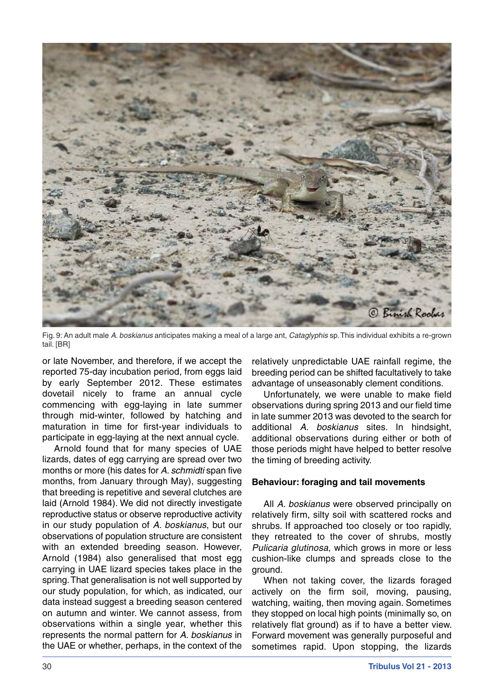

Fig. 9: An adult male *A. boskianus* anticipates making a meal of a large ant, *Cataglyphis* sp.This individual exhibits a re-grown tail. [BR]

or late November, and therefore, if we accept the reported 75-day incubation period, from eggs laid by early September 2012. These estimates dovetail nicely to frame an annual cycle commencing with egg-laying in late summer through mid-winter, followed by hatching and maturation in time for first-year individuals to participate in egg-laying at the next annual cycle.

Arnold found that for many species of UAE lizards, dates of egg carrying are spread over two months or more (his dates for *A. schmidti* span five months, from January through May), suggesting that breeding is repetitive and several clutches are laid (Arnold 1984). We did not directly investigate reproductive status or observe reproductive activity in our study population of *A. boskianus*, but our observations of population structure are consistent with an extended breeding season. However, Arnold (1984) also generalised that most egg carrying in UAE lizard species takes place in the spring.That generalisation is not well supported by our study population, for which, as indicated, our data instead suggest a breeding season centered on autumn and winter. We cannot assess, from observations within a single year, whether this represents the normal pattern for *A. boskianus* in the UAE or whether, perhaps, in the context of the

relatively unpredictable UAE rainfall regime, the breeding period can be shifted facultatively to take advantage of unseasonably clement conditions.

Unfortunately, we were unable to make field observations during spring 2013 and our field time in late summer 2013 was devoted to the search for additional *A. boskianus* sites. In hindsight, additional observations during either or both of those periods might have helped to better resolve the timing of breeding activity.

#### **Behaviour: foraging and tail movements**

All *A. boskianus* were observed principally on relatively firm, silty soil with scattered rocks and shrubs. If approached too closely or too rapidly, they retreated to the cover of shrubs, mostly *Pulicaria glutinosa*, which grows in more or less cushion-like clumps and spreads close to the ground.

When not taking cover, the lizards foraged actively on the firm soil, moving, pausing, watching, waiting, then moving again. Sometimes they stopped on local high points (minimally so, on relatively flat ground) as if to have a better view. Forward movement was generally purposeful and sometimes rapid. Upon stopping, the lizards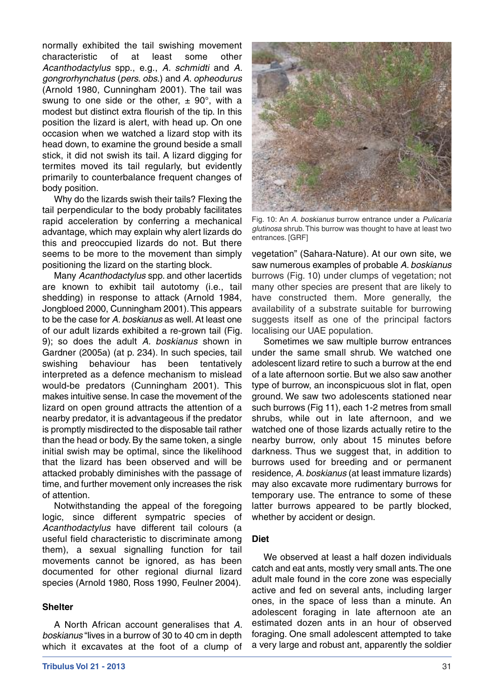normally exhibited the tail swishing movement characteristic of at least some other *Acanthodactylus* spp., e.g., *A. schmidti* and *A. gongrorhynchatus* (*pers. obs.*) and *A. opheodurus* (Arnold 1980, Cunningham 2001). The tail was swung to one side or the other,  $\pm$  90°, with a modest but distinct extra flourish of the tip. In this position the lizard is alert, with head up. On one occasion when we watched a lizard stop with its head down, to examine the ground beside a small stick, it did not swish its tail. A lizard digging for termites moved its tail regularly, but evidently primarily to counterbalance frequent changes of body position.

Why do the lizards swish their tails? Flexing the tail perpendicular to the body probably facilitates rapid acceleration by conferring a mechanical advantage, which may explain why alert lizards do this and preoccupied lizards do not. But there seems to be more to the movement than simply positioning the lizard on the starting block.

Many *Acanthodactylus* spp. and other lacertids are known to exhibit tail autotomy (i.e., tail shedding) in response to attack (Arnold 1984, Jongbloed 2000, Cunningham 2001).This appears to be the case for *A. boskianus* as well.At least one of our adult lizards exhibited a re-grown tail (Fig. 9); so does the adult *A. boskianus* shown in Gardner (2005a) (at p. 234). In such species, tail swishing behaviour has been tentatively interpreted as a defence mechanism to mislead would-be predators (Cunningham 2001). This makes intuitive sense. In case the movement of the lizard on open ground attracts the attention of a nearby predator, it is advantageous if the predator is promptly misdirected to the disposable tail rather than the head or body. By the same token, a single initial swish may be optimal, since the likelihood that the lizard has been observed and will be attacked probably diminishes with the passage of time, and further movement only increases the risk of attention.

Notwithstanding the appeal of the foregoing logic, since different sympatric species of *Acanthodactylus* have different tail colours (a useful field characteristic to discriminate among them), a sexual signalling function for tail movements cannot be ignored, as has been documented for other regional diurnal lizard species (Arnold 1980, Ross 1990, Feulner 2004).

## **Shelter**

A North African account generalises that *A. boskianus* "lives in a burrow of 30 to 40 cm in depth which it excavates at the foot of a clump of



Fig. 10: An *A. boskianus* burrow entrance under a *Pulicaria glutinosa* shrub. This burrow was thought to have at least two entrances. [GRF]

vegetation" (Sahara-Nature). At our own site, we saw numerous examples of probable *A. boskianus* burrows (Fig. 10) under clumps of vegetation; not many other species are present that are likely to have constructed them. More generally, the availability of a substrate suitable for burrowing suggests itself as one of the principal factors localising our UAE population.

Sometimes we saw multiple burrow entrances under the same small shrub. We watched one adolescent lizard retire to such a burrow at the end of a late afternoon sortie. But we also saw another type of burrow, an inconspicuous slot in flat, open ground. We saw two adolescents stationed near such burrows (Fig 11), each 1-2 metres from small shrubs, while out in late afternoon, and we watched one of those lizards actually retire to the nearby burrow, only about 15 minutes before darkness. Thus we suggest that, in addition to burrows used for breeding and or permanent residence, *A. boskianus* (at least immature lizards) may also excavate more rudimentary burrows for temporary use. The entrance to some of these latter burrows appeared to be partly blocked, whether by accident or design.

#### **Diet**

We observed at least a half dozen individuals catch and eat ants, mostly very small ants.The one adult male found in the core zone was especially active and fed on several ants, including larger ones, in the space of less than a minute. An adolescent foraging in late afternoon ate an estimated dozen ants in an hour of observed foraging. One small adolescent attempted to take a very large and robust ant, apparently the soldier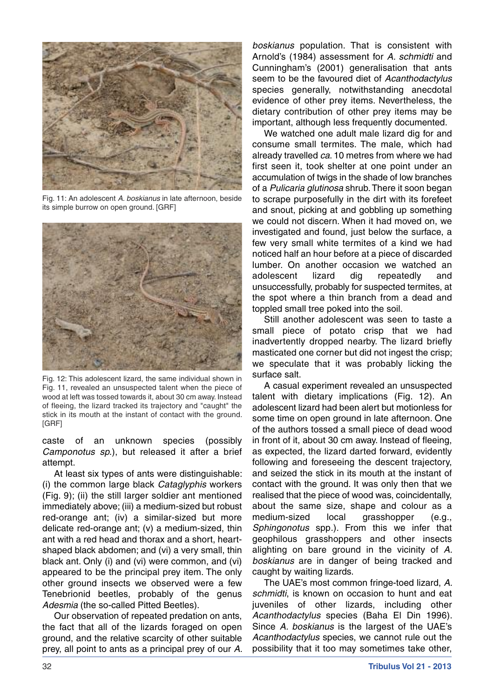

Fig. 11: An adolescent *A. boskianus* in late afternoon, beside its simple burrow on open ground. [GRF]



Fig. 12: This adolescent lizard, the same individual shown in Fig. 11, revealed an unsuspected talent when the piece of wood at left was tossed towards it, about 30 cm away. Instead of fleeing, the lizard tracked its trajectory and "caught" the stick in its mouth at the instant of contact with the ground. [GRF]

caste of an unknown species (possibly *Camponotus sp.*), but released it after a brief attempt.

At least six types of ants were distinguishable: (i) the common large black *Cataglyphis* workers (Fig. 9); (ii) the still larger soldier ant mentioned immediately above; (iii) a medium-sized but robust red-orange ant; (iv) a similar-sized but more delicate red-orange ant; (v) a medium-sized, thin ant with a red head and thorax and a short, heartshaped black abdomen; and (vi) a very small, thin black ant. Only (i) and (vi) were common, and (vi) appeared to be the principal prey item. The only other ground insects we observed were a few Tenebrionid beetles, probably of the genus *Adesmia* (the so-called Pitted Beetles).

Our observation of repeated predation on ants, the fact that all of the lizards foraged on open ground, and the relative scarcity of other suitable prey, all point to ants as a principal prey of our *A.* *boskianus* population. That is consistent with Arnold's (1984) assessment for *A. schmidti* and Cunningham's (2001) generalisation that ants seem to be the favoured diet of *Acanthodactylus* species generally, notwithstanding anecdotal evidence of other prey items. Nevertheless, the dietary contribution of other prey items may be important, although less frequently documented.

We watched one adult male lizard dig for and consume small termites. The male, which had already travelled *ca*. 10 metres from where we had first seen it, took shelter at one point under an accumulation of twigs in the shade of low branches of a *Pulicaria glutinosa* shrub.There it soon began to scrape purposefully in the dirt with its forefeet and snout, picking at and gobbling up something we could not discern. When it had moved on, we investigated and found, just below the surface, a few very small white termites of a kind we had noticed half an hour before at a piece of discarded lumber. On another occasion we watched an adolescent lizard dig repeatedly and unsuccessfully, probably for suspected termites, at the spot where a thin branch from a dead and toppled small tree poked into the soil.

Still another adolescent was seen to taste a small piece of potato crisp that we had inadvertently dropped nearby. The lizard briefly masticated one corner but did not ingest the crisp; we speculate that it was probably licking the surface salt.

A casual experiment revealed an unsuspected talent with dietary implications (Fig. 12). An adolescent lizard had been alert but motionless for some time on open ground in late afternoon. One of the authors tossed a small piece of dead wood in front of it, about 30 cm away. Instead of fleeing, as expected, the lizard darted forward, evidently following and foreseeing the descent trajectory, and seized the stick in its mouth at the instant of contact with the ground. It was only then that we realised that the piece of wood was, coincidentally, about the same size, shape and colour as a medium-sized local grasshopper (e.g., *Sphingonotus* spp*.*). From this we infer that geophilous grasshoppers and other insects alighting on bare ground in the vicinity of *A. boskianus* are in danger of being tracked and caught by waiting lizards.

The UAE's most common fringe-toed lizard, *A. schmidti*, is known on occasion to hunt and eat juveniles of other lizards, including other *Acanthodactylus* species (Baha El Din 1996). Since *A. boskianus* is the largest of the UAE's *Acanthodactylus* species, we cannot rule out the possibility that it too may sometimes take other,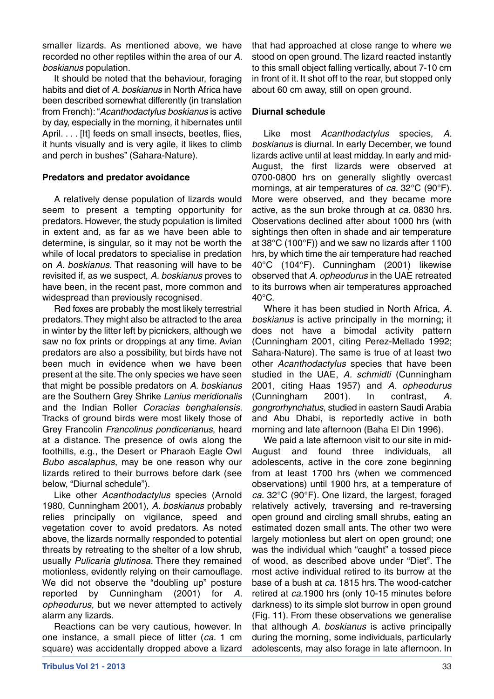smaller lizards. As mentioned above, we have recorded no other reptiles within the area of our *A. boskianus* population.

It should be noted that the behaviour, foraging habits and diet of *A. boskianus* in North Africa have been described somewhat differently (in translation from French):"*Acanthodactylus boskianus* is active by day, especially in the morning, it hibernates until April. . . . [It] feeds on small insects, beetles, flies, it hunts visually and is very agile, it likes to climb and perch in bushes" (Sahara-Nature).

# **Predators and predator avoidance**

A relatively dense population of lizards would seem to present a tempting opportunity for predators. However, the study population is limited in extent and, as far as we have been able to determine, is singular, so it may not be worth the while of local predators to specialise in predation on *A. boskianus*. That reasoning will have to be revisited if, as we suspect, *A. boskianus* proves to have been, in the recent past, more common and widespread than previously recognised.

Red foxes are probably the most likely terrestrial predators.They might also be attracted to the area in winter by the litter left by picnickers, although we saw no fox prints or droppings at any time. Avian predators are also a possibility, but birds have not been much in evidence when we have been present at the site.The only species we have seen that might be possible predators on *A. boskianus* are the Southern Grey Shrike *Lanius meridionalis* and the Indian Roller *Coracias benghalensis*. Tracks of ground birds were most likely those of Grey Francolin *Francolinus pondicerianus*, heard at a distance. The presence of owls along the foothills, e.g., the Desert or Pharaoh Eagle Owl *Bubo ascalaphus*, may be one reason why our lizards retired to their burrows before dark (see below, "Diurnal schedule").

Like other *Acanthodactylus* species (Arnold 1980, Cunningham 2001), *A. boskianus* probably relies principally on vigilance, speed and vegetation cover to avoid predators. As noted above, the lizards normally responded to potential threats by retreating to the shelter of a low shrub, usually *Pulicaria glutinosa*. There they remained motionless, evidently relying on their camouflage. We did not observe the "doubling up" posture reported by Cunningham (2001) for *A. opheodurus*, but we never attempted to actively alarm any lizards.

Reactions can be very cautious, however. In one instance, a small piece of litter (*ca*. 1 cm square) was accidentally dropped above a lizard

that had approached at close range to where we stood on open ground.The lizard reacted instantly to this small object falling vertically, about 7-10 cm in front of it. It shot off to the rear, but stopped only about 60 cm away, still on open ground.

# **Diurnal schedule**

Like most *Acanthodactylus* species, *A. boskianus* is diurnal. In early December, we found lizards active until at least midday. In early and mid-August, the first lizards were observed at 0700-0800 hrs on generally slightly overcast mornings, at air temperatures of *ca*. 32°C (90°F). More were observed, and they became more active, as the sun broke through at *ca*. 0830 hrs. Observations declined after about 1000 hrs (with sightings then often in shade and air temperature at 38°C (100°F)) and we saw no lizards after 1100 hrs, by which time the air temperature had reached 40°C (104°F). Cunningham (2001) likewise observed that *A. opheodurus* in the UAE retreated to its burrows when air temperatures approached  $40^{\circ}$ C.

Where it has been studied in North Africa, *A. boskianus* is active principally in the morning; it does not have a bimodal activity pattern (Cunningham 2001, citing Perez-Mellado 1992; Sahara-Nature). The same is true of at least two other *Acanthodactylus* species that have been studied in the UAE, *A. schmidti* (Cunningham 2001, citing Haas 1957) and *A. opheodurus* (Cunningham 2001). In contrast, *A. gongrorhynchatus*, studied in eastern Saudi Arabia and Abu Dhabi, is reportedly active in both morning and late afternoon (Baha El Din 1996).

We paid a late afternoon visit to our site in mid-August and found three individuals, all adolescents, active in the core zone beginning from at least 1700 hrs (when we commenced observations) until 1900 hrs, at a temperature of *ca*. 32°C (90°F). One lizard, the largest, foraged relatively actively, traversing and re-traversing open ground and circling small shrubs, eating an estimated dozen small ants. The other two were largely motionless but alert on open ground; one was the individual which "caught" a tossed piece of wood, as described above under "Diet". The most active individual retired to its burrow at the base of a bush at *ca*. 1815 hrs. The wood-catcher retired at *ca*.1900 hrs (only 10-15 minutes before darkness) to its simple slot burrow in open ground (Fig. 11). From these observations we generalise that although *A. boskianus* is active principally during the morning, some individuals, particularly adolescents, may also forage in late afternoon. In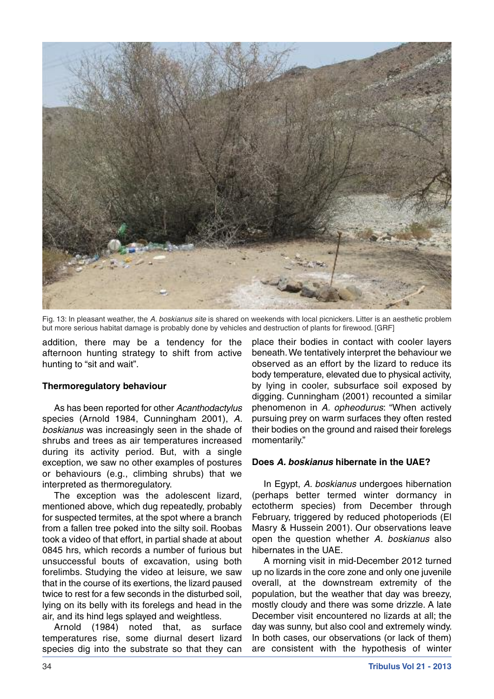

Fig. 13: In pleasant weather, the *A. boskianus site* is shared on weekends with local picnickers. Litter is an aesthetic problem but more serious habitat damage is probably done by vehicles and destruction of plants for firewood. [GRF]

addition, there may be a tendency for the afternoon hunting strategy to shift from active hunting to "sit and wait".

## **Thermoregulatory behaviour**

As has been reported for other *Acanthodactylus* species (Arnold 1984, Cunningham 2001), *A. boskianus* was increasingly seen in the shade of shrubs and trees as air temperatures increased during its activity period. But, with a single exception, we saw no other examples of postures or behaviours (e.g., climbing shrubs) that we interpreted as thermoregulatory.

The exception was the adolescent lizard, mentioned above, which dug repeatedly, probably for suspected termites, at the spot where a branch from a fallen tree poked into the silty soil. Roobas took a video of that effort, in partial shade at about 0845 hrs, which records a number of furious but unsuccessful bouts of excavation, using both forelimbs. Studying the video at leisure, we saw that in the course of its exertions, the lizard paused twice to rest for a few seconds in the disturbed soil, lying on its belly with its forelegs and head in the air, and its hind legs splayed and weightless.

Arnold (1984) noted that, as surface temperatures rise, some diurnal desert lizard species dig into the substrate so that they can

place their bodies in contact with cooler layers beneath.We tentatively interpret the behaviour we observed as an effort by the lizard to reduce its body temperature, elevated due to physical activity, by lying in cooler, subsurface soil exposed by digging. Cunningham (2001) recounted a similar phenomenon in *A. opheodurus*: "When actively pursuing prey on warm surfaces they often rested their bodies on the ground and raised their forelegs momentarily."

## **Does** *A. boskianus* **hibernate in the UAE?**

In Egypt, *A. boskianus* undergoes hibernation (perhaps better termed winter dormancy in ectotherm species) from December through February, triggered by reduced photoperiods (El Masry & Hussein 2001). Our observations leave open the question whether *A. boskianus* also hibernates in the UAE.

A morning visit in mid-December 2012 turned up no lizards in the core zone and only one juvenile overall, at the downstream extremity of the population, but the weather that day was breezy, mostly cloudy and there was some drizzle. A late December visit encountered no lizards at all; the day was sunny, but also cool and extremely windy. In both cases, our observations (or lack of them) are consistent with the hypothesis of winter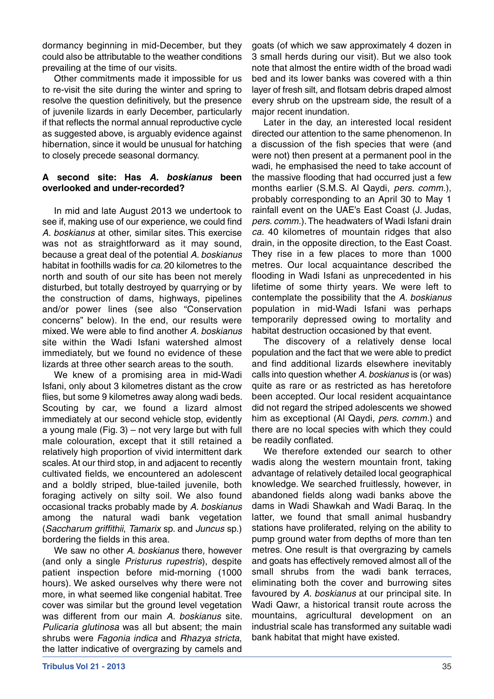dormancy beginning in mid-December, but they could also be attributable to the weather conditions prevailing at the time of our visits.

Other commitments made it impossible for us to re-visit the site during the winter and spring to resolve the question definitively, but the presence of juvenile lizards in early December, particularly if that reflects the normal annual reproductive cycle as suggested above, is arguably evidence against hibernation, since it would be unusual for hatching to closely precede seasonal dormancy.

## **A second site: Has** *A. boskianus* **been overlooked and under-recorded?**

In mid and late August 2013 we undertook to see if, making use of our experience, we could find *A. boskianus* at other, similar sites. This exercise was not as straightforward as it may sound, because a great deal of the potential *A. boskianus* habitat in foothills wadis for *ca*. 20 kilometres to the north and south of our site has been not merely disturbed, but totally destroyed by quarrying or by the construction of dams, highways, pipelines and/or power lines (see also "Conservation concerns" below). In the end, our results were mixed. We were able to find another *A. boskianus* site within the Wadi Isfani watershed almost immediately, but we found no evidence of these lizards at three other search areas to the south.

We knew of a promising area in mid-Wadi Isfani, only about 3 kilometres distant as the crow flies, but some 9 kilometres away along wadi beds. Scouting by car, we found a lizard almost immediately at our second vehicle stop, evidently a young male  $(Fig. 3)$  – not very large but with full male colouration, except that it still retained a relatively high proportion of vivid intermittent dark scales. At our third stop, in and adjacent to recently cultivated fields, we encountered an adolescent and a boldly striped, blue-tailed juvenile, both foraging actively on silty soil. We also found occasional tracks probably made by *A. boskianus* among the natural wadi bank vegetation (*Saccharum griffithii*, *Tamarix* sp. and *Juncus* sp.) bordering the fields in this area.

We saw no other *A. boskianus* there, however (and only a single *Pristurus rupestris*), despite patient inspection before mid-morning (1000 hours). We asked ourselves why there were not more, in what seemed like congenial habitat. Tree cover was similar but the ground level vegetation was different from our main *A. boskianus* site. *Pulicaria glutinosa* was all but absent; the main shrubs were *Fagonia indica* and *Rhazya stricta*, the latter indicative of overgrazing by camels and

goats (of which we saw approximately 4 dozen in 3 small herds during our visit). But we also took note that almost the entire width of the broad wadi bed and its lower banks was covered with a thin layer of fresh silt, and flotsam debris draped almost every shrub on the upstream side, the result of a major recent inundation.

Later in the day, an interested local resident directed our attention to the same phenomenon. In a discussion of the fish species that were (and were not) then present at a permanent pool in the wadi, he emphasised the need to take account of the massive flooding that had occurred just a few months earlier (S.M.S. Al Qaydi, *pers. comm.*), probably corresponding to an April 30 to May 1 rainfall event on the UAE's East Coast (J. Judas, *pers. comm.*).The headwaters of Wadi Isfani drain *ca*. 40 kilometres of mountain ridges that also drain, in the opposite direction, to the East Coast. They rise in a few places to more than 1000 metres. Our local acquaintance described the flooding in Wadi Isfani as unprecedented in his lifetime of some thirty years. We were left to contemplate the possibility that the *A. boskianus* population in mid-Wadi Isfani was perhaps temporarily depressed owing to mortality and habitat destruction occasioned by that event.

The discovery of a relatively dense local population and the fact that we were able to predict and find additional lizards elsewhere inevitably calls into question whether *A. boskianus* is (or was) quite as rare or as restricted as has heretofore been accepted. Our local resident acquaintance did not regard the striped adolescents we showed him as exceptional (Al Qaydi, *pers. comm.*) and there are no local species with which they could be readily conflated.

We therefore extended our search to other wadis along the western mountain front, taking advantage of relatively detailed local geographical knowledge. We searched fruitlessly, however, in abandoned fields along wadi banks above the dams in Wadi Shawkah and Wadi Baraq. In the latter, we found that small animal husbandry stations have proliferated, relying on the ability to pump ground water from depths of more than ten metres. One result is that overgrazing by camels and goats has effectively removed almost all of the small shrubs from the wadi bank terraces, eliminating both the cover and burrowing sites favoured by *A. boskianus* at our principal site. In Wadi Qawr, a historical transit route across the mountains, agricultural development on an industrial scale has transformed any suitable wadi bank habitat that might have existed.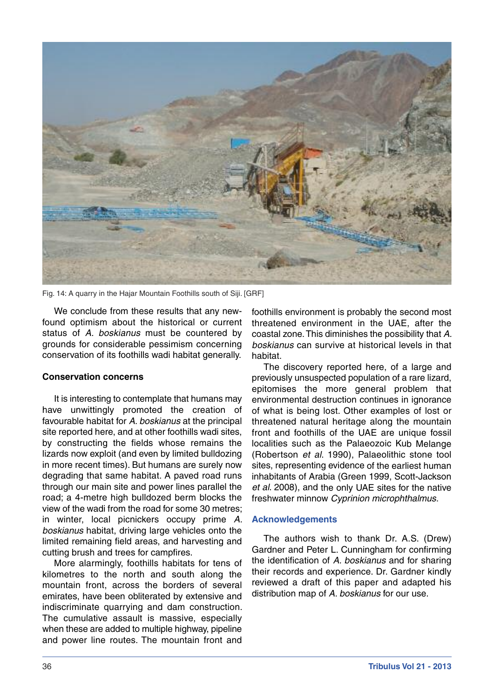

Fig. 14: A quarry in the Hajar Mountain Foothills south of Siji. [GRF]

We conclude from these results that any newfound optimism about the historical or current status of *A. boskianus* must be countered by grounds for considerable pessimism concerning conservation of its foothills wadi habitat generally.

#### **Conservation concerns**

It is interesting to contemplate that humans may have unwittingly promoted the creation of favourable habitat for *A. boskianus* at the principal site reported here, and at other foothills wadi sites, by constructing the fields whose remains the lizards now exploit (and even by limited bulldozing in more recent times). But humans are surely now degrading that same habitat. A paved road runs through our main site and power lines parallel the road; a 4-metre high bulldozed berm blocks the view of the wadi from the road for some 30 metres; in winter, local picnickers occupy prime *A. boskianus* habitat, driving large vehicles onto the limited remaining field areas, and harvesting and cutting brush and trees for campfires.

More alarmingly, foothills habitats for tens of kilometres to the north and south along the mountain front, across the borders of several emirates, have been obliterated by extensive and indiscriminate quarrying and dam construction. The cumulative assault is massive, especially when these are added to multiple highway, pipeline and power line routes. The mountain front and

foothills environment is probably the second most threatened environment in the UAE, after the coastal zone.This diminishes the possibility that *A. boskianus* can survive at historical levels in that habitat.

The discovery reported here, of <sup>a</sup> large and previously unsuspected population of <sup>a</sup> rare lizard, epitomises the more general problem that environmental destruction continues in ignorance of what is being lost. Other examples of lost or threatened natural heritage along the mountain front and foothills of the UAE are unique fossil localities such as the Palaeozoic Kub Melange (Robertson *et al*. 1990), Palaeolithic stone tool sites, representing evidence of the earliest human inhabitants of Arabia (Green 1999, Scott-Jackson *et al*. 2008), and the only UAE sites for the native freshwater minnow *Cyprinion microphthalmus*.

## **Acknowledgements**

The authors wish to thank Dr. A.S. (Drew) Gardner and Peter L. Cunningham for confirming the identification of *A. boskianus* and for sharing their records and experience. Dr. Gardner kindly reviewed <sup>a</sup> draft of this paper and adapted his distribution map of *A. boskianus* for our use.